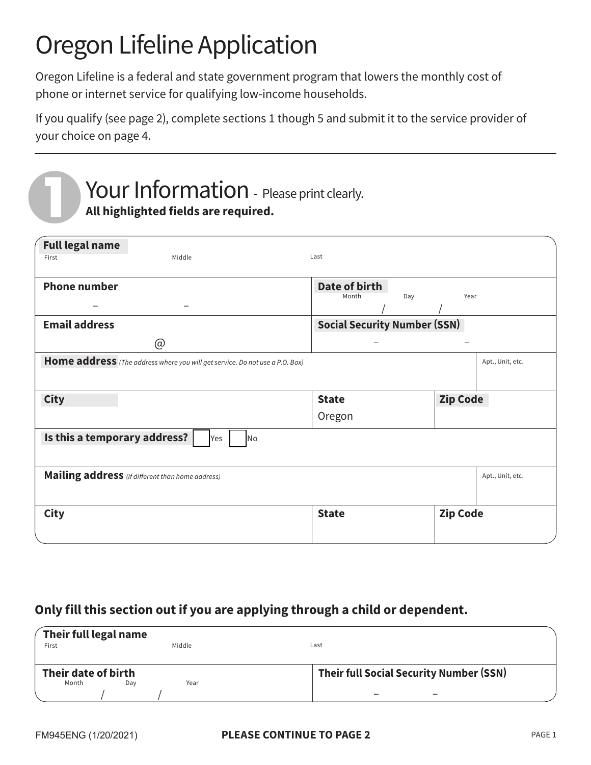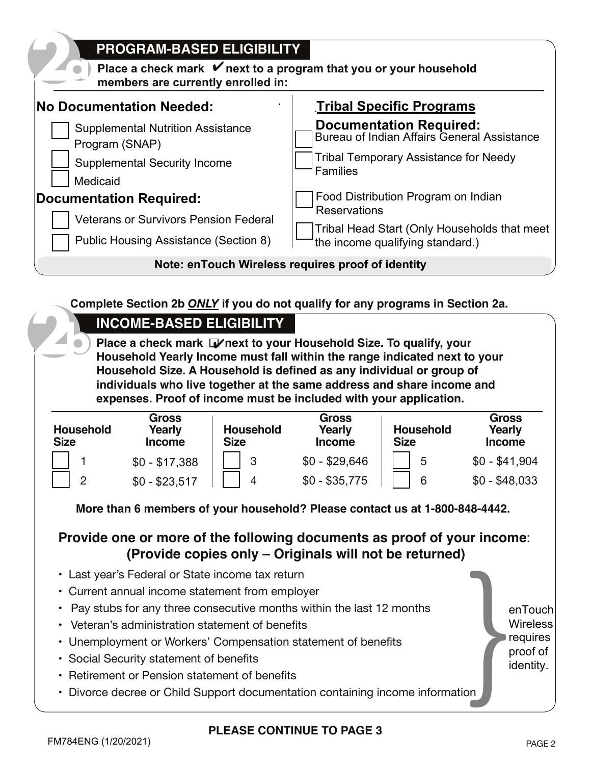

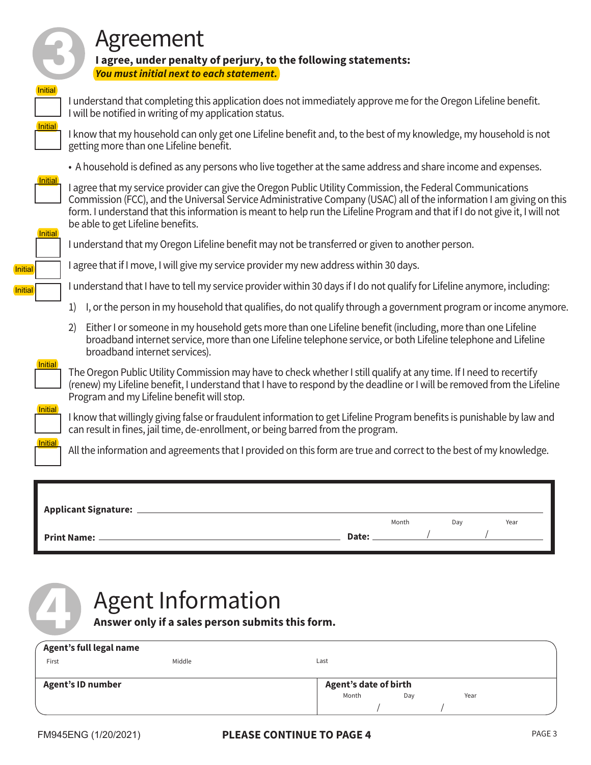